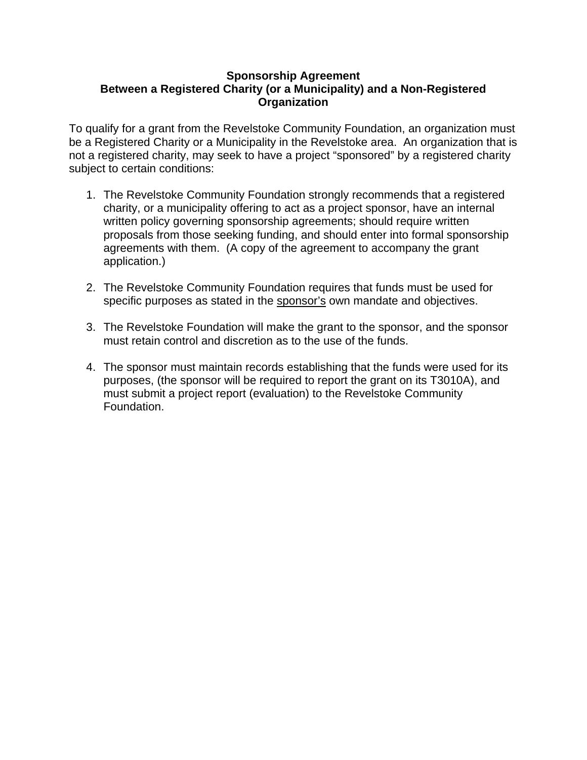## **Sponsorship Agreement Between a Registered Charity (or a Municipality) and a Non-Registered Organization**

To qualify for a grant from the Revelstoke Community Foundation, an organization must be a Registered Charity or a Municipality in the Revelstoke area. An organization that is not a registered charity, may seek to have a project "sponsored" by a registered charity subject to certain conditions:

- 1. The Revelstoke Community Foundation strongly recommends that a registered charity, or a municipality offering to act as a project sponsor, have an internal written policy governing sponsorship agreements; should require written proposals from those seeking funding, and should enter into formal sponsorship agreements with them. (A copy of the agreement to accompany the grant application.)
- 2. The Revelstoke Community Foundation requires that funds must be used for specific purposes as stated in the sponsor's own mandate and objectives.
- 3. The Revelstoke Foundation will make the grant to the sponsor, and the sponsor must retain control and discretion as to the use of the funds.
- 4. The sponsor must maintain records establishing that the funds were used for its purposes, (the sponsor will be required to report the grant on its T3010A), and must submit a project report (evaluation) to the Revelstoke Community Foundation.